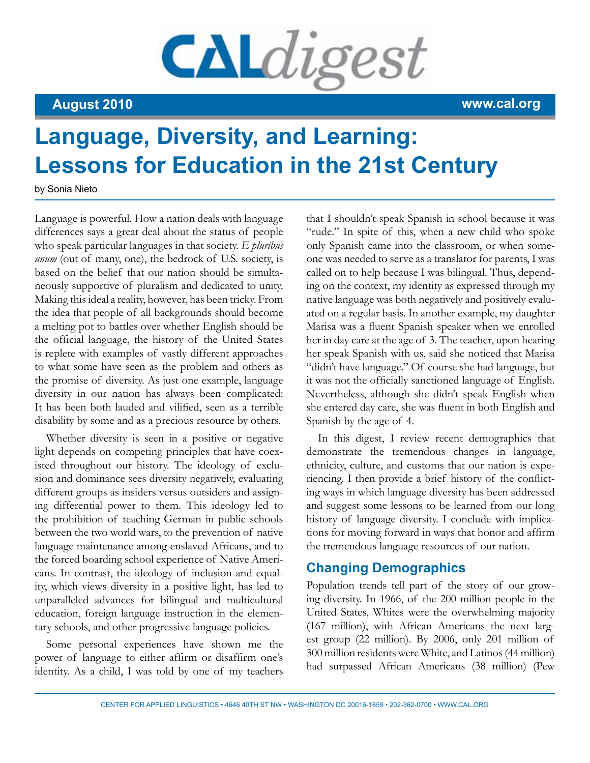# CALdigest

**August 2010 www.cal.org**

# **Language, Diversity, and Learning: Lessons for Education in the 21st Century**

by Sonia Nieto

Language is powerful. How a nation deals with language differences says a great deal about the status of people who speak particular languages in that society. *E pluribus unum* (out of many, one), the bedrock of U.S. society, is based on the belief that our nation should be simultaneously supportive of pluralism and dedicated to unity. Making this ideal a reality, however, has been tricky. From the idea that people of all backgrounds should become a melting pot to battles over whether English should be the official language, the history of the United States is replete with examples of vastly different approaches to what some have seen as the problem and others as the promise of diversity. As just one example, language diversity in our nation has always been complicated: It has been both lauded and vilified, seen as a terrible disability by some and as a precious resource by others.

Whether diversity is seen in a positive or negative light depends on competing principles that have coexisted throughout our history. The ideology of exclusion and dominance sees diversity negatively, evaluating different groups as insiders versus outsiders and assigning differential power to them. This ideology led to the prohibition of teaching German in public schools between the two world wars, to the prevention of native language maintenance among enslaved Africans, and to the forced boarding school experience of Native Americans. In contrast, the ideology of inclusion and equality, which views diversity in a positive light, has led to unparalleled advances for bilingual and multicultural education, foreign language instruction in the elementary schools, and other progressive language policies.

Some personal experiences have shown me the power of language to either affirm or disaffirm one's identity. As a child, I was told by one of my teachers

that I shouldn't speak Spanish in school because it was "rude." In spite of this, when a new child who spoke only Spanish came into the classroom, or when someone was needed to serve as a translator for parents, I was called on to help because I was bilingual. Thus, depending on the context, my identity as expressed through my native language was both negatively and positively evaluated on a regular basis. In another example, my daughter Marisa was a fluent Spanish speaker when we enrolled her in day care at the age of 3. The teacher, upon hearing her speak Spanish with us, said she noticed that Marisa "didn't have language." Of course she had language, but it was not the officially sanctioned language of English. Nevertheless, although she didn't speak English when she entered day care, she was fluent in both English and Spanish by the age of 4.

In this digest, I review recent demographics that demonstrate the tremendous changes in language, ethnicity, culture, and customs that our nation is experiencing. I then provide a brief history of the conflicting ways in which language diversity has been addressed and suggest some lessons to be learned from our long history of language diversity. I conclude with implications for moving forward in ways that honor and affirm the tremendous language resources of our nation.

# **Changing Demographics**

Population trends tell part of the story of our growing diversity. In 1966, of the 200 million people in the United States, Whites were the overwhelming majority (167 million), with African Americans the next largest group (22 million). By 2006, only 201 million of 300 million residents were White, and Latinos (44 million) had surpassed African Americans (38 million) (Pew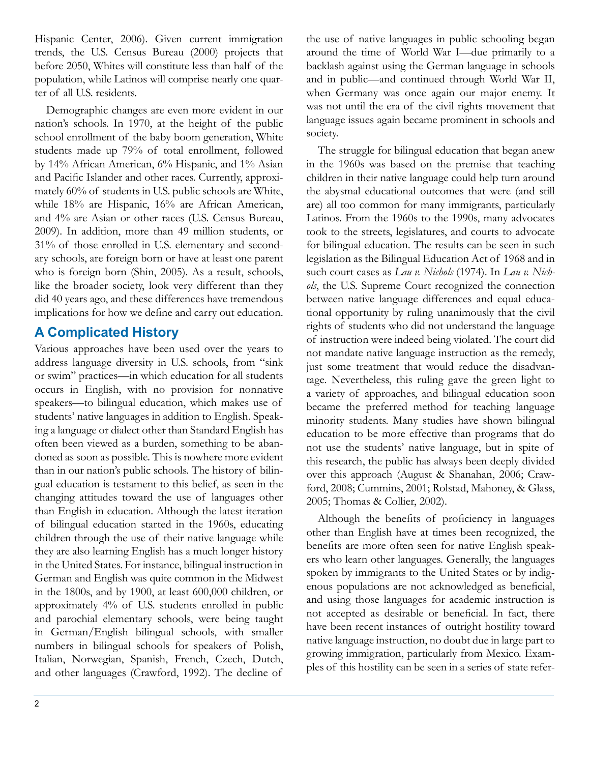Hispanic Center, 2006). Given current immigration trends, the U.S. Census Bureau (2000) projects that before 2050, Whites will constitute less than half of the population, while Latinos will comprise nearly one quarter of all U.S. residents.

Demographic changes are even more evident in our nation's schools. In 1970, at the height of the public school enrollment of the baby boom generation, White students made up 79% of total enrollment, followed by 14% African American, 6% Hispanic, and 1% Asian and Pacific Islander and other races. Currently, approximately 60% of students in U.S. public schools are White, while 18% are Hispanic, 16% are African American, and 4% are Asian or other races (U.S. Census Bureau, 2009). In addition, more than 49 million students, or 31% of those enrolled in U.S. elementary and secondary schools, are foreign born or have at least one parent who is foreign born (Shin, 2005). As a result, schools, like the broader society, look very different than they did 40 years ago, and these differences have tremendous implications for how we define and carry out education.

## **A Complicated History**

Various approaches have been used over the years to address language diversity in U.S. schools, from "sink or swim" practices—in which education for all students occurs in English, with no provision for nonnative speakers—to bilingual education, which makes use of students' native languages in addition to English. Speaking a language or dialect other than Standard English has often been viewed as a burden, something to be abandoned as soon as possible. This is nowhere more evident than in our nation's public schools. The history of bilingual education is testament to this belief, as seen in the changing attitudes toward the use of languages other than English in education. Although the latest iteration of bilingual education started in the 1960s, educating children through the use of their native language while they are also learning English has a much longer history in the United States. For instance, bilingual instruction in German and English was quite common in the Midwest in the 1800s, and by 1900, at least 600,000 children, or approximately 4% of U.S. students enrolled in public and parochial elementary schools, were being taught in German/English bilingual schools, with smaller numbers in bilingual schools for speakers of Polish, Italian, Norwegian, Spanish, French, Czech, Dutch, and other languages (Crawford, 1992). The decline of

the use of native languages in public schooling began around the time of World War I—due primarily to a backlash against using the German language in schools and in public—and continued through World War II, when Germany was once again our major enemy. It was not until the era of the civil rights movement that language issues again became prominent in schools and society.

The struggle for bilingual education that began anew in the 1960s was based on the premise that teaching children in their native language could help turn around the abysmal educational outcomes that were (and still are) all too common for many immigrants, particularly Latinos. From the 1960s to the 1990s, many advocates took to the streets, legislatures, and courts to advocate for bilingual education. The results can be seen in such legislation as the Bilingual Education Act of 1968 and in such court cases as *Lau v. Nichols* (1974). In *Lau v. Nichols*, the U.S. Supreme Court recognized the connection between native language differences and equal educational opportunity by ruling unanimously that the civil rights of students who did not understand the language of instruction were indeed being violated. The court did not mandate native language instruction as the remedy, just some treatment that would reduce the disadvantage. Nevertheless, this ruling gave the green light to a variety of approaches, and bilingual education soon became the preferred method for teaching language minority students. Many studies have shown bilingual education to be more effective than programs that do not use the students' native language, but in spite of this research, the public has always been deeply divided over this approach (August & Shanahan, 2006; Crawford, 2008; Cummins, 2001; Rolstad, Mahoney, & Glass, 2005; Thomas & Collier, 2002).

Although the benefits of proficiency in languages other than English have at times been recognized, the benefits are more often seen for native English speakers who learn other languages. Generally, the languages spoken by immigrants to the United States or by indigenous populations are not acknowledged as beneficial, and using those languages for academic instruction is not accepted as desirable or beneficial. In fact, there have been recent instances of outright hostility toward native language instruction, no doubt due in large part to growing immigration, particularly from Mexico. Examples of this hostility can be seen in a series of state refer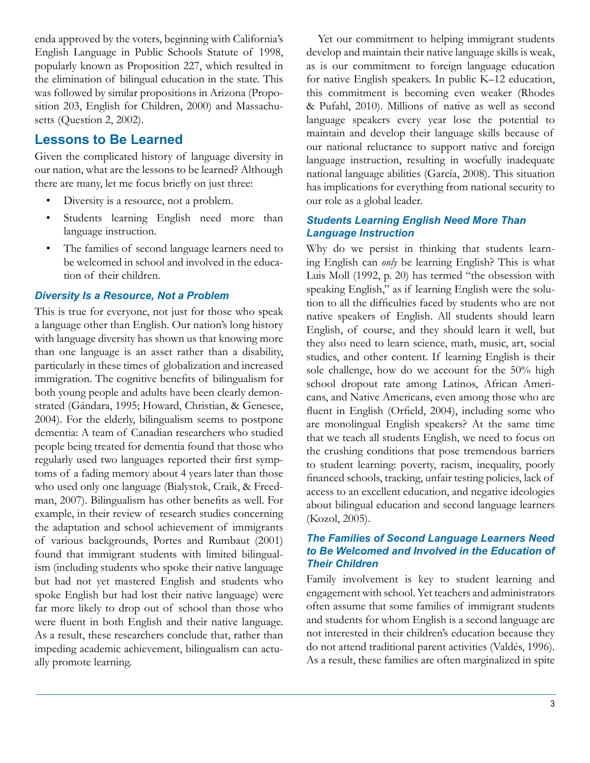enda approved by the voters, beginning with California's English Language in Public Schools Statute of 1998, popularly known as Proposition 227, which resulted in the elimination of bilingual education in the state. This was followed by similar propositions in Arizona (Proposition 203, English for Children, 2000) and Massachusetts (Question 2, 2002).

### **Lessons to Be Learned**

Given the complicated history of language diversity in our nation, what are the lessons to be learned? Although there are many, let me focus briefly on just three:

- Diversity is a resource, not a problem.
- Students learning English need more than language instruction.
- The families of second language learners need to be welcomed in school and involved in the education of their children.

#### *Diversity Is a Resource, Not a Problem*

This is true for everyone, not just for those who speak a language other than English. Our nation's long history with language diversity has shown us that knowing more than one language is an asset rather than a disability, particularly in these times of globalization and increased immigration. The cognitive benefits of bilingualism for both young people and adults have been clearly demonstrated (Gándara, 1995; Howard, Christian, & Genesee, 2004). For the elderly, bilingualism seems to postpone dementia: A team of Canadian researchers who studied people being treated for dementia found that those who regularly used two languages reported their first symptoms of a fading memory about 4 years later than those who used only one language (Bialystok, Craik, & Freedman, 2007). Bilingualism has other benefits as well. For example, in their review of research studies concerning the adaptation and school achievement of immigrants of various backgrounds, Portes and Rumbaut (2001) found that immigrant students with limited bilingualism (including students who spoke their native language but had not yet mastered English and students who spoke English but had lost their native language) were far more likely to drop out of school than those who were fluent in both English and their native language. As a result, these researchers conclude that, rather than impeding academic achievement, bilingualism can actually promote learning.

Yet our commitment to helping immigrant students develop and maintain their native language skills is weak, as is our commitment to foreign language education for native English speakers. In public K–12 education, this commitment is becoming even weaker (Rhodes & Pufahl, 2010). Millions of native as well as second language speakers every year lose the potential to maintain and develop their language skills because of our national reluctance to support native and foreign language instruction, resulting in woefully inadequate national language abilities (García, 2008). This situation has implications for everything from national security to our role as a global leader.

#### *Students Learning English Need More Than Language Instruction*

Why do we persist in thinking that students learning English can *only* be learning English? This is what Luis Moll (1992, p. 20) has termed "the obsession with speaking English," as if learning English were the solution to all the difficulties faced by students who are not native speakers of English. All students should learn English, of course, and they should learn it well, but they also need to learn science, math, music, art, social studies, and other content. If learning English is their sole challenge, how do we account for the 50% high school dropout rate among Latinos, African Americans, and Native Americans, even among those who are fluent in English (Orfield, 2004), including some who are monolingual English speakers? At the same time that we teach all students English, we need to focus on the crushing conditions that pose tremendous barriers to student learning: poverty, racism, inequality, poorly financed schools, tracking, unfair testing policies, lack of access to an excellent education, and negative ideologies about bilingual education and second language learners (Kozol, 2005).

#### *The Families of Second Language Learners Need to Be Welcomed and Involved in the Education of Their Children*

Family involvement is key to student learning and engagement with school. Yet teachers and administrators often assume that some families of immigrant students and students for whom English is a second language are not interested in their children's education because they do not attend traditional parent activities (Valdés, 1996). As a result, these families are often marginalized in spite